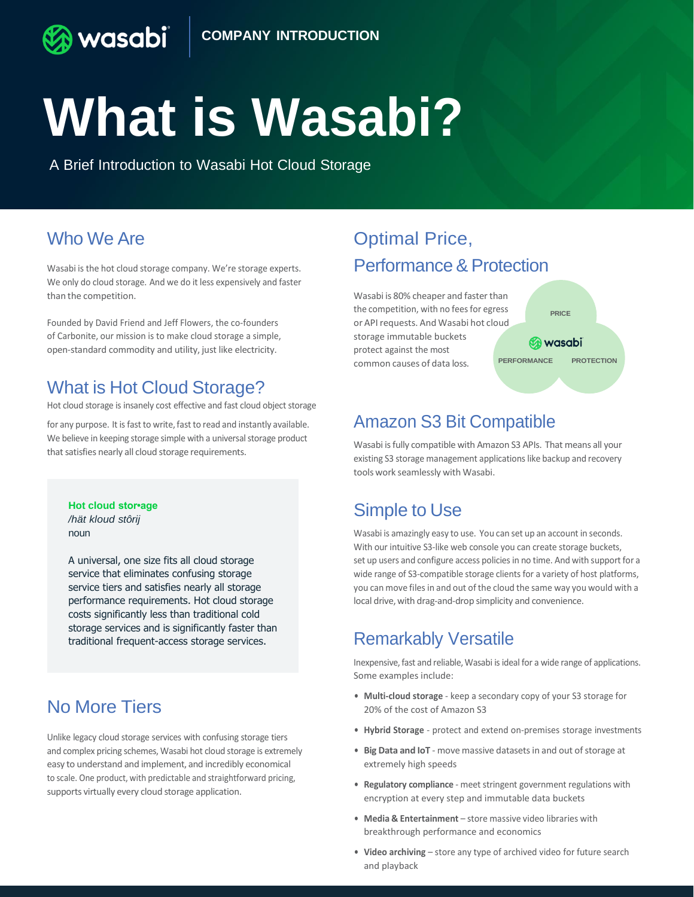# **What is Wasabi?**

A Brief Introduction to Wasabi Hot Cloud Storage

# Who We Are

**wasabi** 

Wasabi is the hot cloud storage company. We're storage experts. We only do cloud storage. And we do it less expensively and faster than the competition.

Founded by David Friend and Jeff Flowers, the co-founders of Carbonite, our mission is to make cloud storage a simple, open-standard commodity and utility, just like electricity.

### What is Hot Cloud Storage?

Hot cloud storage is insanely cost effective and fast cloud object storage

for any purpose. It is fast to write, fast to read and instantly available. We believe in keeping storage simple with a universal storage product that satisfies nearly all cloud storage requirements.

**Hot cloud stor•age** */hät kloud stôrij* noun

A universal, one size fits all cloud storage service that eliminates confusing storage service tiers and satisfies nearly all storage performance requirements. Hot cloud storage costs significantly less than traditional cold storage services and is significantly faster than traditional frequent-access storage services.

# No More Tiers

Unlike legacy cloud storage services with confusing storage tiers and complex pricing schemes, Wasabi hot cloud storage is extremely easy to understand and implement, and incredibly economical to scale. One product, with predictable and straightforward pricing, supports virtually every cloud storage application.

# Optimal Price, Performance & Protection

Wasabi is 80% cheaper and faster than the competition, with no fees for egress or API requests. And Wasabi hot cloud storage immutable buckets protect against the most common causes of data loss. **PERFORMANCE PROTECTION**

**PRICE B** wasabi

## Amazon S3 Bit Compatible

Wasabi isfully compatible with Amazon S3 APIs. That means all your existing S3 storage management applications like backup and recovery tools work seamlessly with Wasabi.

# Simple to Use

Wasabi is amazingly easy to use. You can set up an account in seconds. With our intuitive S3-like web console you can create storage buckets, set up users and configure access policies in no time. And with support for a wide range of S3-compatible storage clients for a variety of host platforms, you can move files in and out of the cloud the same way you would with a local drive, with drag-and-drop simplicity and convenience.

#### Remarkably Versatile

Inexpensive,fast and reliable,Wasabi isideal for a wide range of applications. Some examples include:

- **• Multi-cloud storage**  keep a secondary copy of your S3 storage for 20% of the cost of Amazon S3
- **• Hybrid Storage** protect and extend on-premises storage investments
- Big Data and IoT move massive datasets in and out of storage at extremely high speeds
- **• Regulatory compliance**  meet stringent government regulations with encryption at every step and immutable data buckets
- **• Media & Entertainment** store massive video libraries with breakthrough performance and economics
- **• Video archiving** store any type of archived video for future search and playback